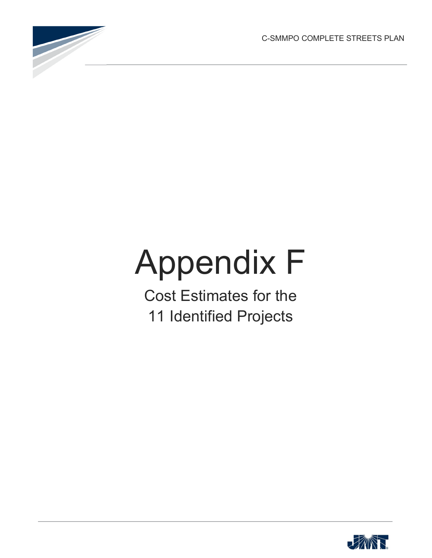C-SMMPO COMPLETE STREETS PLAN



## Appendix F

Cost Estimates for the 11 Identified Projects

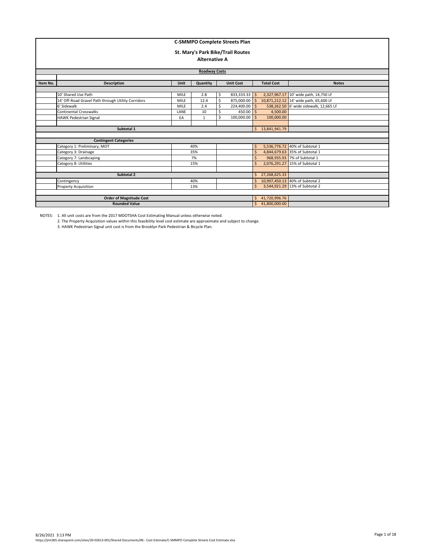|          | <b>C-SMMPO Complete Streets Plan</b><br>St. Mary's Park Bike/Trail Routes<br><b>Alternative A</b> |             |                   |                                 |                                |         |                 |                                        |  |  |  |
|----------|---------------------------------------------------------------------------------------------------|-------------|-------------------|---------------------------------|--------------------------------|---------|-----------------|----------------------------------------|--|--|--|
|          | <b>Roadway Costs</b>                                                                              |             |                   |                                 |                                |         |                 |                                        |  |  |  |
|          |                                                                                                   |             |                   |                                 |                                |         |                 |                                        |  |  |  |
| Item No. | <b>Description</b>                                                                                |             | <b>Total Cost</b> | <b>Notes</b>                    |                                |         |                 |                                        |  |  |  |
|          |                                                                                                   |             |                   |                                 |                                |         |                 |                                        |  |  |  |
|          | 10' Shared Use Path                                                                               | <b>MILE</b> | 2.8               | \$                              | 833,333.33 \$                  |         |                 | 2,327,967.17 10' wide path, 14,750 LF  |  |  |  |
|          | 14' Off-Road Gravel Path through Utility Corridors                                                | <b>MILE</b> | 12.4              | Ś                               | 875,000.00                     | l s     |                 | 10,871,212.12 14' wide path, 65,600 LF |  |  |  |
|          | 6' Sidewalk                                                                                       | <b>MILE</b> | 2.4               | Ś                               | 224,400.00 \$                  |         |                 | 538,262.50 6' wide sidewalk, 12,665 LF |  |  |  |
|          | <b>Continental Crosswalks</b>                                                                     | LANE        | 10                | Ś                               | $450.00$ S                     |         | 4,500.00        |                                        |  |  |  |
|          | <b>HAWK Pedestrian Signal</b>                                                                     | EA          | $\mathbf{1}$      | Ś                               | 100,000.00                     |         | 100,000.00      |                                        |  |  |  |
|          |                                                                                                   |             |                   |                                 |                                |         |                 |                                        |  |  |  |
|          | Subtotal 1                                                                                        |             |                   |                                 |                                | Ś.      | 13,841,941.79   |                                        |  |  |  |
|          |                                                                                                   |             |                   |                                 |                                |         |                 |                                        |  |  |  |
|          | <b>Contingent Categories</b>                                                                      |             |                   |                                 |                                |         |                 |                                        |  |  |  |
|          | Category 1: Preliminary, MOT                                                                      |             | 40%               |                                 |                                | \$      |                 | 5,536,776.72 40% of Subtotal 1         |  |  |  |
|          | Category 3: Drainage                                                                              |             | 35%               |                                 |                                | $\zeta$ |                 | 4,844,679.63 35% of Subtotal 1         |  |  |  |
|          | Category 7: Landscaping                                                                           |             | 7%                |                                 |                                | Ŝ       |                 | 968.935.93 7% of Subtotal 1            |  |  |  |
|          | Category 8: Utilities                                                                             |             | 15%               |                                 |                                | Ś       |                 | 2,076,291.27 15% of Subtotal 1         |  |  |  |
|          |                                                                                                   |             |                   |                                 |                                |         |                 |                                        |  |  |  |
|          | Subtotal 2                                                                                        | Ś.          | 27,268,625.33     |                                 |                                |         |                 |                                        |  |  |  |
|          | Contingency                                                                                       | Ŝ.          |                   | 10,907,450.13 40% of Subtotal 2 |                                |         |                 |                                        |  |  |  |
|          | <b>Property Acquisition</b>                                                                       |             | $\mathsf{S}$      |                                 | 3,544,921.29 13% of Subtotal 2 |         |                 |                                        |  |  |  |
|          |                                                                                                   |             |                   |                                 |                                |         |                 |                                        |  |  |  |
|          | <b>Order of Magnitude Cost</b>                                                                    |             |                   |                                 |                                | Ŝ.      | 41,720,996.76   |                                        |  |  |  |
|          | <b>Rounded Value</b>                                                                              |             |                   |                                 |                                |         | \$41,800,000.00 |                                        |  |  |  |

2. The Property Acquisition values within this feasibility level cost estimate are approximate and subject to change.

3. HAWK Pedestrian Signal unit cost is from the Brooklyn Park Pedestrian & Bicycle Plan.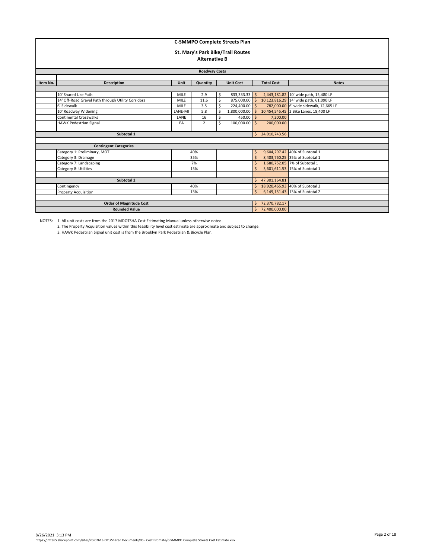|                      | <b>C-SMMPO Complete Streets Plan</b>               |              |                      |                                 |                                   |                    |                 |                                        |  |  |  |
|----------------------|----------------------------------------------------|--------------|----------------------|---------------------------------|-----------------------------------|--------------------|-----------------|----------------------------------------|--|--|--|
|                      |                                                    |              |                      |                                 | St. Mary's Park Bike/Trail Routes |                    |                 |                                        |  |  |  |
|                      |                                                    |              | <b>Alternative B</b> |                                 |                                   |                    |                 |                                        |  |  |  |
|                      |                                                    |              |                      |                                 |                                   |                    |                 |                                        |  |  |  |
| <b>Roadway Costs</b> |                                                    |              |                      |                                 |                                   |                    |                 |                                        |  |  |  |
| Item No.             | <b>Description</b>                                 |              | <b>Total Cost</b>    | <b>Notes</b>                    |                                   |                    |                 |                                        |  |  |  |
|                      |                                                    |              |                      |                                 |                                   |                    |                 |                                        |  |  |  |
|                      | 10' Shared Use Path                                | MILE         | 2.9                  | \$                              | 833,333.33 \$                     |                    |                 | 2,443,181.82 10' wide path, 15,480 LF  |  |  |  |
|                      | 14' Off-Road Gravel Path through Utility Corridors | MILE         | 11.6                 | Ś                               | 875,000.00                        |                    |                 | 10,123,816.29 14' wide path, 61,090 LF |  |  |  |
|                      | 6' Sidewalk                                        | <b>MILE</b>  | 3.5                  | Ś                               | 224,400.00                        | Ŝ                  |                 | 782,000.00 6' wide sidewalk, 12,665 LF |  |  |  |
|                      | 10' Roadway Widening                               | LANE-MI      | 5.8                  | ¢                               | 1,800,000.00                      | $\mathsf{S}$       |                 | 10,454,545.45 2 Bike Lanes, 18,400 LF  |  |  |  |
|                      | Continental Crosswalks                             | LANE         | 16                   | Ś.                              | $450.00$ \$                       |                    | 7,200.00        |                                        |  |  |  |
|                      | <b>HAWK Pedestrian Signal</b>                      | EA           | $\overline{2}$       |                                 | 100,000.00                        | $\zeta$            | 200,000.00      |                                        |  |  |  |
|                      |                                                    |              |                      |                                 |                                   |                    |                 |                                        |  |  |  |
|                      | Subtotal 1                                         |              |                      |                                 |                                   |                    | \$24,010,743.56 |                                        |  |  |  |
|                      |                                                    |              |                      |                                 |                                   |                    |                 |                                        |  |  |  |
|                      | <b>Contingent Categories</b>                       |              |                      |                                 |                                   |                    |                 |                                        |  |  |  |
|                      | Category 1: Preliminary, MOT                       |              | 40%                  |                                 |                                   | $\mathsf{\hat{S}}$ |                 | 9,604,297.42 40% of Subtotal 1         |  |  |  |
|                      | Category 3: Drainage                               |              | 35%                  |                                 |                                   | Ś                  |                 | 8,403,760.25 35% of Subtotal 1         |  |  |  |
|                      | Category 7: Landscaping                            |              | 7%                   |                                 |                                   | Ś                  |                 | 1,680,752.05 7% of Subtotal 1          |  |  |  |
|                      | Category 8: Utilities                              |              | 15%                  |                                 |                                   | Ś                  |                 | 3,601,611.53 15% of Subtotal 1         |  |  |  |
|                      |                                                    |              |                      |                                 |                                   |                    |                 |                                        |  |  |  |
|                      | Subtotal 2                                         | Ś.           | 47,301,164.81        |                                 |                                   |                    |                 |                                        |  |  |  |
|                      | Contingency                                        | Ś.           |                      | 18,920,465.93 40% of Subtotal 2 |                                   |                    |                 |                                        |  |  |  |
|                      | <b>Property Acquisition</b>                        | $\mathsf{S}$ |                      | 6,149,151.43 13% of Subtotal 2  |                                   |                    |                 |                                        |  |  |  |
|                      |                                                    |              |                      |                                 |                                   |                    |                 |                                        |  |  |  |
|                      | <b>Order of Magnitude Cost</b>                     | Ś.           | 72,370,782.17        |                                 |                                   |                    |                 |                                        |  |  |  |
|                      | <b>Rounded Value</b>                               |              |                      |                                 |                                   | Ś.                 | 72,400,000.00   |                                        |  |  |  |

2. The Property Acquisition values within this feasibility level cost estimate are approximate and subject to change.

3. HAWK Pedestrian Signal unit cost is from the Brooklyn Park Pedestrian & Bicycle Plan.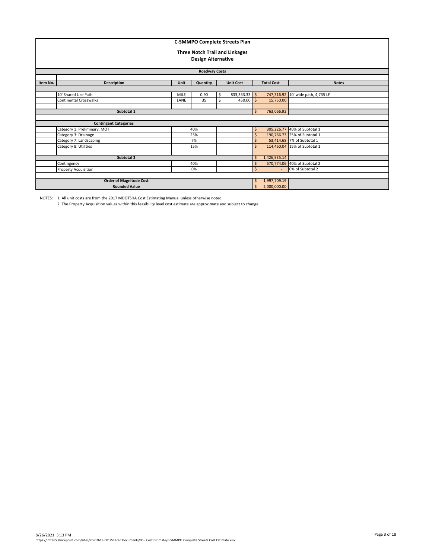|          | <b>C-SMMPO Complete Streets Plan</b><br><b>Three Notch Trail and Linkages</b><br><b>Design Alternative</b><br><b>Roadway Costs</b> |                                |                              |                                    |                  |                    |              |                                                              |  |  |  |  |
|----------|------------------------------------------------------------------------------------------------------------------------------------|--------------------------------|------------------------------|------------------------------------|------------------|--------------------|--------------|--------------------------------------------------------------|--|--|--|--|
| Item No. | <b>Description</b>                                                                                                                 | <b>Unit Cost</b>               |                              | <b>Total Cost</b>                  | <b>Notes</b>     |                    |              |                                                              |  |  |  |  |
|          | 10' Shared Use Path<br><b>Continental Crosswalks</b>                                                                               | $833,333.33$ \$<br>$450.00$ \$ | 15,750.00                    | 747,316.92 10' wide path, 4,735 LF |                  |                    |              |                                                              |  |  |  |  |
|          | Subtotal 1                                                                                                                         |                                |                              |                                    |                  | $\mathsf{S}$       | 763,066.92   |                                                              |  |  |  |  |
|          | <b>Contingent Categories</b>                                                                                                       |                                |                              |                                    |                  |                    |              |                                                              |  |  |  |  |
|          | Category 1: Preliminary, MOT                                                                                                       |                                | 40%<br>25%                   |                                    |                  | \$<br>Ś            |              | 305,226.77 40% of Subtotal 1<br>190,766.73 25% of Subtotal 1 |  |  |  |  |
|          | Category 3: Drainage<br>Category 7: Landscaping                                                                                    |                                | 7%                           |                                    |                  | $\mathsf{\hat{S}}$ |              | 53,414.68 7% of Subtotal 1                                   |  |  |  |  |
|          | Category 8: Utilities                                                                                                              |                                | 15%                          |                                    |                  | $\mathsf{S}$       |              | 114,460.04 15% of Subtotal 1                                 |  |  |  |  |
|          | Subtotal 2                                                                                                                         |                                |                              |                                    |                  | Ś.                 | 1,426,935.14 |                                                              |  |  |  |  |
|          | Contingency                                                                                                                        | \$                             |                              | 570,774.06 40% of Subtotal 2       |                  |                    |              |                                                              |  |  |  |  |
|          | Property Acquisition                                                                                                               |                                | Ś                            |                                    | 0% of Subtotal 2 |                    |              |                                                              |  |  |  |  |
|          | <b>Order of Magnitude Cost</b><br><b>Rounded Value</b>                                                                             | \$<br>Ś.                       | 1,997,709.19<br>2,000,000.00 |                                    |                  |                    |              |                                                              |  |  |  |  |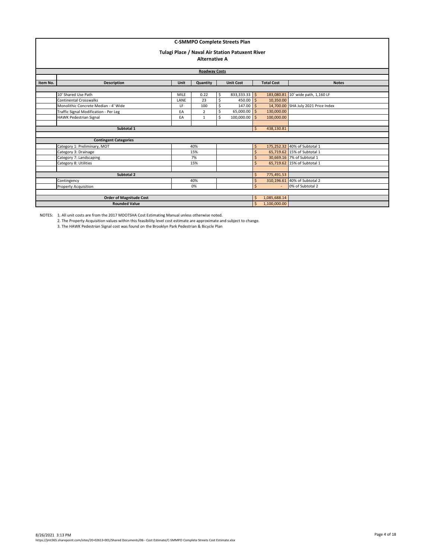|          | <b>C-SMMPO Complete Streets Plan</b><br>Tulagi Place / Naval Air Station Patuxent River<br><b>Alternative A</b><br><b>Roadway Costs</b> |                  |                    |                              |                  |              |              |                                     |  |  |  |
|----------|-----------------------------------------------------------------------------------------------------------------------------------------|------------------|--------------------|------------------------------|------------------|--------------|--------------|-------------------------------------|--|--|--|
| Item No. | <b>Description</b>                                                                                                                      | <b>Unit Cost</b> |                    | <b>Total Cost</b>            | <b>Notes</b>     |              |              |                                     |  |  |  |
|          |                                                                                                                                         |                  | Quantity           |                              |                  |              |              |                                     |  |  |  |
|          | 10' Shared Use Path                                                                                                                     | <b>MILE</b>      | 0.22               | Ś.                           | 833,333.33 \$    |              | 183,080.81   | 10' wide path, 1,160 LF             |  |  |  |
|          | Continental Crosswalks                                                                                                                  | LANE             | 23                 | Š.                           | $450.00$ S       |              | 10.350.00    |                                     |  |  |  |
|          | Monolithic Concrete Median - 4' Wide                                                                                                    | LF               | 100                | Ś                            | $147.00$ \$      |              |              | 14,700.00 SHA July 2021 Price Index |  |  |  |
|          | Traffic Signal Modification - Per Leg<br>EA<br>$\overline{2}$                                                                           |                  |                    |                              | 65,000.00 \$     |              | 130,000.00   |                                     |  |  |  |
|          | <b>HAWK Pedestrian Signal</b>                                                                                                           | EA               | $\mathbf{1}$       |                              | 100,000.00       |              | 100,000.00   |                                     |  |  |  |
|          |                                                                                                                                         |                  |                    |                              |                  |              |              |                                     |  |  |  |
|          | Subtotal 1                                                                                                                              |                  |                    |                              |                  | $\mathsf{S}$ | 438,130.81   |                                     |  |  |  |
|          |                                                                                                                                         |                  |                    |                              |                  |              |              |                                     |  |  |  |
|          | <b>Contingent Categories</b>                                                                                                            |                  |                    |                              |                  |              |              |                                     |  |  |  |
|          | Category 1: Preliminary, MOT                                                                                                            |                  | 40%                |                              |                  | \$           |              | 175,252.32 40% of Subtotal 1        |  |  |  |
|          | Category 3: Drainage                                                                                                                    |                  | 15%                |                              |                  | Ś            |              | 65,719.62 15% of Subtotal 1         |  |  |  |
|          | Category 7: Landscaping                                                                                                                 |                  | 7%                 |                              |                  | Ś            |              | 30,669.16 7% of Subtotal 1          |  |  |  |
|          | Category 8: Utilities                                                                                                                   |                  | 15%                |                              |                  | Ś            |              | 65,719.62 15% of Subtotal 1         |  |  |  |
|          |                                                                                                                                         |                  |                    |                              |                  |              |              |                                     |  |  |  |
|          | Subtotal 2                                                                                                                              |                  | Ŝ                  | 775,491.53                   |                  |              |              |                                     |  |  |  |
|          | Contingency                                                                                                                             | Ś                |                    | 310,196.61 40% of Subtotal 2 |                  |              |              |                                     |  |  |  |
|          | <b>Property Acquisition</b>                                                                                                             |                  | $\mathsf{\hat{S}}$ |                              | 0% of Subtotal 2 |              |              |                                     |  |  |  |
|          |                                                                                                                                         |                  |                    |                              |                  |              |              |                                     |  |  |  |
|          | <b>Order of Magnitude Cost</b>                                                                                                          |                  |                    |                              |                  | \$           | 1,085,688.14 |                                     |  |  |  |
|          | <b>Rounded Value</b>                                                                                                                    |                  |                    |                              |                  | \$           | 1,100,000.00 |                                     |  |  |  |

2. The Property Acquisition values within this feasibility level cost estimate are approximate and subject to change.

3. The HAWK Pedestrian Signal cost was found on the Brooklyn Park Pedestrian & Bicycle Plan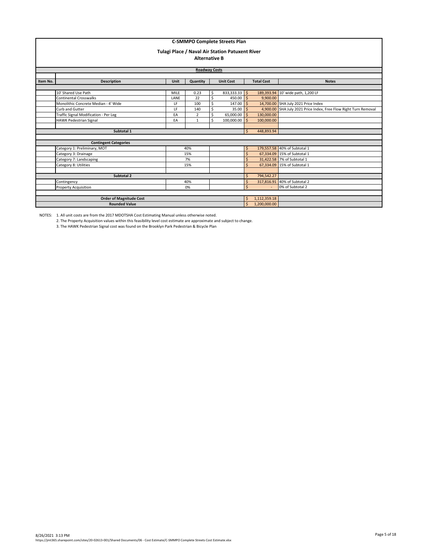|          | <b>C-SMMPO Complete Streets Plan</b>  |             |                         |            |                                                 |                    |                   |                                                         |  |  |  |  |
|----------|---------------------------------------|-------------|-------------------------|------------|-------------------------------------------------|--------------------|-------------------|---------------------------------------------------------|--|--|--|--|
|          |                                       |             |                         |            | Tulagi Place / Naval Air Station Patuxent River |                    |                   |                                                         |  |  |  |  |
|          |                                       |             |                         |            |                                                 |                    |                   |                                                         |  |  |  |  |
|          | <b>Alternative B</b>                  |             |                         |            |                                                 |                    |                   |                                                         |  |  |  |  |
|          | <b>Roadway Costs</b>                  |             |                         |            |                                                 |                    |                   |                                                         |  |  |  |  |
|          |                                       |             |                         |            |                                                 |                    |                   |                                                         |  |  |  |  |
| Item No. | <b>Description</b>                    | <b>Unit</b> | Quantity                |            | <b>Unit Cost</b>                                |                    | <b>Total Cost</b> | <b>Notes</b>                                            |  |  |  |  |
|          |                                       |             |                         |            |                                                 |                    |                   |                                                         |  |  |  |  |
|          | 10' Shared Use Path                   | 189,393.94  | 10' wide path, 1,200 LF |            |                                                 |                    |                   |                                                         |  |  |  |  |
|          | <b>Continental Crosswalks</b>         | LANE        | 22                      | \$         | $450.00$ \$                                     |                    | 9,900.00          |                                                         |  |  |  |  |
|          | Monolithic Concrete Median - 4' Wide  | $147.00$ \$ |                         |            | 14,700.00 SHA July 2021 Price Index             |                    |                   |                                                         |  |  |  |  |
|          | Curb and Gutter                       | LF          | 140                     | Ś          | $35.00$ \$                                      |                    | 4,900.00          | SHA July 2021 Price Index, Free Flow Right Turn Removal |  |  |  |  |
|          | Traffic Signal Modification - Per Leg | EA          | $\overline{2}$          | Ś          | 65,000.00 \$                                    |                    | 130,000.00        |                                                         |  |  |  |  |
|          | HAWK Pedestrian Signal                | EA          | 1                       | Ś          | 100,000.00 \$                                   |                    | 100,000.00        |                                                         |  |  |  |  |
|          |                                       |             |                         |            |                                                 |                    |                   |                                                         |  |  |  |  |
|          | Subtotal 1                            |             |                         |            |                                                 | Ś.                 | 448,893.94        |                                                         |  |  |  |  |
|          |                                       |             |                         |            |                                                 |                    |                   |                                                         |  |  |  |  |
|          | <b>Contingent Categories</b>          |             |                         |            |                                                 |                    |                   |                                                         |  |  |  |  |
|          | Category 1: Preliminary, MOT          |             | 40%                     |            |                                                 | \$                 |                   | 179,557.58 40% of Subtotal 1                            |  |  |  |  |
|          | Category 3: Drainage                  |             | 15%                     |            |                                                 | Ś.                 |                   | 67,334.09 15% of Subtotal 1                             |  |  |  |  |
|          | Category 7: Landscaping               |             | 7%                      |            |                                                 |                    |                   | 31,422.58 7% of Subtotal 1                              |  |  |  |  |
|          | Category 8: Utilities                 |             | 15%                     |            |                                                 | ς                  |                   | 67,334.09 15% of Subtotal 1                             |  |  |  |  |
|          |                                       |             |                         |            |                                                 |                    |                   |                                                         |  |  |  |  |
|          | Subtotal 2                            |             | Ś                       | 794,542.27 |                                                 |                    |                   |                                                         |  |  |  |  |
|          | Contingency                           |             | Ś                       | 317,816.91 | 40% of Subtotal 2                               |                    |                   |                                                         |  |  |  |  |
|          | Property Acquisition                  |             | 0%                      |            |                                                 | $\mathsf{\hat{S}}$ |                   | 0% of Subtotal 2                                        |  |  |  |  |
|          |                                       |             |                         |            |                                                 |                    |                   |                                                         |  |  |  |  |
|          | <b>Order of Magnitude Cost</b>        |             |                         |            |                                                 | \$                 | 1,112,359.18      |                                                         |  |  |  |  |
|          | <b>Rounded Value</b>                  |             |                         |            |                                                 | \$                 | 1,200,000.00      |                                                         |  |  |  |  |

2. The Property Acquisition values within this feasibility level cost estimate are approximate and subject to change. 3. The HAWK Pedestrian Signal cost was found on the Brooklyn Park Pedestrian & Bicycle Plan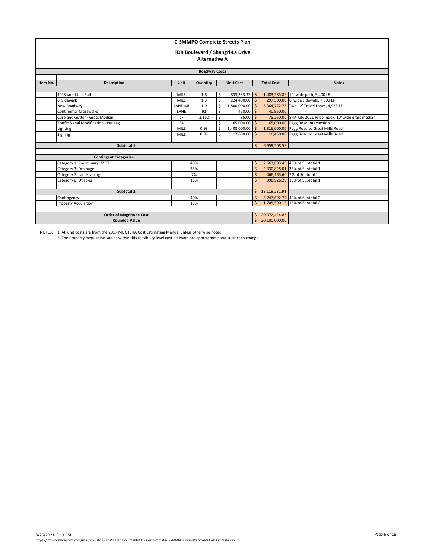| <b>C-SMMPO Complete Streets Plan</b>                            |                                       |                      |                      |                                             |                                  |              |               |                                                            |  |  |  |
|-----------------------------------------------------------------|---------------------------------------|----------------------|----------------------|---------------------------------------------|----------------------------------|--------------|---------------|------------------------------------------------------------|--|--|--|
|                                                                 |                                       |                      |                      |                                             |                                  |              |               |                                                            |  |  |  |
|                                                                 |                                       |                      |                      |                                             | FDR Boulevard / Shangri-La Drive |              |               |                                                            |  |  |  |
|                                                                 |                                       |                      | <b>Alternative A</b> |                                             |                                  |              |               |                                                            |  |  |  |
|                                                                 |                                       |                      |                      |                                             |                                  |              |               |                                                            |  |  |  |
|                                                                 |                                       |                      |                      |                                             |                                  |              |               |                                                            |  |  |  |
|                                                                 |                                       | <b>Roadway Costs</b> |                      |                                             |                                  |              |               |                                                            |  |  |  |
| Item No.                                                        | <b>Description</b>                    |                      | <b>Total Cost</b>    | <b>Notes</b>                                |                                  |              |               |                                                            |  |  |  |
| Quantity                                                        |                                       |                      |                      |                                             |                                  |              |               |                                                            |  |  |  |
|                                                                 | 10' Shared Use Path                   | $833,333.33$ \$      |                      | 1,483,585.86 10' wide path, 9,400 LF        |                                  |              |               |                                                            |  |  |  |
|                                                                 | 6' Sidewalk                           | 224,400.00 \$        |                      | 297,500.00 6' wide sidewalk, 7,000 LF       |                                  |              |               |                                                            |  |  |  |
|                                                                 | New Roadway                           | $1,800,000.00$ \$    |                      | 3,364,772.73 Two 12' Travel Lanes, 4,935 LF |                                  |              |               |                                                            |  |  |  |
| <b>Continental Crosswalks</b><br>$450.00$ S<br>LANE<br>91<br>\$ |                                       |                      |                      |                                             |                                  |              |               |                                                            |  |  |  |
|                                                                 | Curb and Gutter - Grass Median        | LF                   | 2,150                | \$                                          | $35.00$ $\mid$ \$                |              |               | 75,250.00 SHA July 2021 Price Index, 10' wide grass median |  |  |  |
|                                                                 | Traffic Signal Modification - Per Leg | EA                   | $\mathbf{1}$         | Ś                                           | 65,000.00 \$                     |              |               | 65,000.00 Pegg Road Intersection                           |  |  |  |
|                                                                 | Lighting                              | <b>MILE</b>          | 0.93                 | Ś                                           | 1,408,000.00 \$                  |              |               | 1,316,000.00 Pegg Road to Great Mills Road                 |  |  |  |
|                                                                 | Signing                               | <b>MILE</b>          | 0.93                 | Ś                                           | 17,600.00                        |              |               | 16,450.00 Pegg Road to Great Mills Road                    |  |  |  |
|                                                                 |                                       |                      |                      |                                             |                                  |              |               |                                                            |  |  |  |
|                                                                 | Subtotal 1                            |                      |                      |                                             |                                  | Ś.           | 6,659,508.59  |                                                            |  |  |  |
|                                                                 |                                       |                      |                      |                                             |                                  |              |               |                                                            |  |  |  |
|                                                                 | <b>Contingent Categories</b>          |                      |                      |                                             |                                  |              |               |                                                            |  |  |  |
|                                                                 | Category 1: Preliminary, MOT          |                      | 40%                  |                                             |                                  | \$           |               | 2,663,803.43 40% of Subtotal 1                             |  |  |  |
|                                                                 | Category 3: Drainage                  |                      | 35%                  |                                             |                                  | \$           |               | 2,330,828.01 35% of Subtotal 1                             |  |  |  |
|                                                                 | Category 7: Landscaping               |                      | 7%                   |                                             |                                  | \$           |               | 466,165.60 7% of Subtotal 1                                |  |  |  |
|                                                                 | Category 8: Utilities                 |                      | 15%                  |                                             |                                  | $\mathsf{S}$ |               | 998,926.29 15% of Subtotal 1                               |  |  |  |
|                                                                 |                                       |                      |                      |                                             |                                  |              |               |                                                            |  |  |  |
|                                                                 | Subtotal 2                            | \$                   | 13,119,231.91        |                                             |                                  |              |               |                                                            |  |  |  |
|                                                                 | Contingency                           | \$                   |                      | 5,247,692.77 40% of Subtotal 2              |                                  |              |               |                                                            |  |  |  |
|                                                                 | <b>Property Acquisition</b>           | Ś.                   |                      | 1,705,500.15 13% of Subtotal 2              |                                  |              |               |                                                            |  |  |  |
|                                                                 |                                       |                      |                      |                                             |                                  |              |               |                                                            |  |  |  |
|                                                                 | <b>Order of Magnitude Cost</b>        |                      |                      |                                             |                                  | \$           | 20,072,424.83 |                                                            |  |  |  |
|                                                                 | <b>Rounded Value</b>                  |                      |                      |                                             |                                  | Ś.           | 20,100,000.00 |                                                            |  |  |  |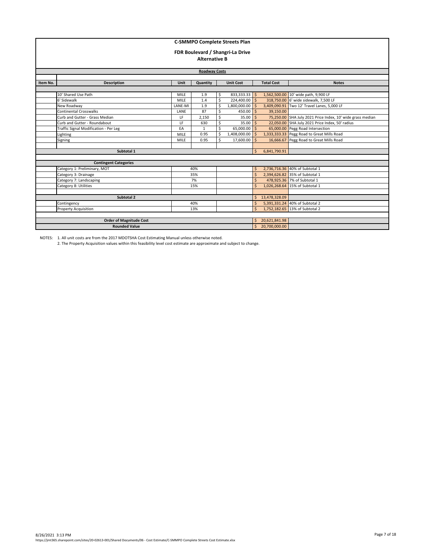| <b>C-SMMPO Complete Streets Plan</b> |                                       |               |                      |                                       |                                  |              |                   |                                                            |  |  |  |
|--------------------------------------|---------------------------------------|---------------|----------------------|---------------------------------------|----------------------------------|--------------|-------------------|------------------------------------------------------------|--|--|--|
|                                      |                                       |               |                      |                                       |                                  |              |                   |                                                            |  |  |  |
|                                      |                                       |               |                      |                                       | FDR Boulevard / Shangri-La Drive |              |                   |                                                            |  |  |  |
|                                      |                                       |               |                      |                                       |                                  |              |                   |                                                            |  |  |  |
|                                      |                                       |               | <b>Alternative B</b> |                                       |                                  |              |                   |                                                            |  |  |  |
|                                      | <b>Roadway Costs</b>                  |               |                      |                                       |                                  |              |                   |                                                            |  |  |  |
|                                      |                                       |               |                      |                                       |                                  |              |                   |                                                            |  |  |  |
| Item No.                             | <b>Description</b>                    | Unit          | Quantity             |                                       | <b>Unit Cost</b>                 |              | <b>Total Cost</b> | <b>Notes</b>                                               |  |  |  |
|                                      |                                       |               |                      |                                       |                                  |              |                   |                                                            |  |  |  |
|                                      | 10' Shared Use Path                   | <b>MILE</b>   | 1.9                  | \$                                    | 833,333.33 \$                    |              |                   | 1,562,500.00 10' wide path, 9,900 LF                       |  |  |  |
|                                      | 6' Sidewalk                           | 224,400.00 \$ |                      | 318,750.00 6' wide sidewalk, 7,500 LF |                                  |              |                   |                                                            |  |  |  |
|                                      | New Roadway                           | LANE-MI       | 1.9                  | \$                                    | $1.800.000.00$ S                 |              |                   | 3,409,090.91 Two 12' Travel Lanes, 5,000 LF                |  |  |  |
|                                      | <b>Continental Crosswalks</b>         | LANE          | 87                   | \$                                    | $450.00$ \$                      |              | 39.150.00         |                                                            |  |  |  |
|                                      | Curb and Gutter - Grass Median        | LF            | 2,150                | \$                                    | 35.00                            | l \$         |                   | 75,250.00 SHA July 2021 Price Index, 10' wide grass median |  |  |  |
|                                      | Curb and Gutter - Roundabout          | LF            | 630                  | Ś                                     | $35.00$ \$                       |              |                   | 22,050.00 SHA July 2021 Price Index, 50' radius            |  |  |  |
|                                      | Traffic Signal Modification - Per Leg | EA            | $\mathbf{1}$         | \$                                    | 65,000.00 \$                     |              |                   | 65,000.00 Pegg Road Intersection                           |  |  |  |
|                                      | Lighting                              | <b>MILE</b>   | 0.95                 | Ś                                     | 1,408,000.00                     |              |                   | 1,333,333.33 Pegg Road to Great Mills Road                 |  |  |  |
|                                      | Signing                               | MILE          | 0.95                 | Ś                                     | 17,600.00                        |              |                   | 16,666.67 Pegg Road to Great Mills Road                    |  |  |  |
|                                      |                                       |               |                      |                                       |                                  |              |                   |                                                            |  |  |  |
|                                      | Subtotal 1                            |               |                      |                                       |                                  | $\mathsf{S}$ | 6,841,790.91      |                                                            |  |  |  |
|                                      |                                       |               |                      |                                       |                                  |              |                   |                                                            |  |  |  |
|                                      | <b>Contingent Categories</b>          |               |                      |                                       |                                  |              |                   |                                                            |  |  |  |
|                                      | Category 1: Preliminary, MOT          |               | 40%                  |                                       |                                  | Ŝ.           |                   | 2,736,716.36 40% of Subtotal 1                             |  |  |  |
|                                      | Category 3: Drainage                  |               | 35%                  |                                       |                                  | Ś            |                   | 2,394,626.82 35% of Subtotal 1                             |  |  |  |
|                                      | Category 7: Landscaping               |               | 7%                   |                                       |                                  | Ś            |                   | 478,925.36 7% of Subtotal 1                                |  |  |  |
|                                      | Category 8: Utilities                 |               | 15%                  |                                       |                                  | Ś            |                   | 1,026,268.64 15% of Subtotal 1                             |  |  |  |
|                                      |                                       |               |                      |                                       |                                  |              |                   |                                                            |  |  |  |
|                                      | Subtotal 2                            | Ś.            | 13,478,328.09        |                                       |                                  |              |                   |                                                            |  |  |  |
|                                      | Contingency                           |               | Ś                    |                                       | 5,391,331.24 40% of Subtotal 2   |              |                   |                                                            |  |  |  |
|                                      | <b>Property Acquisition</b>           |               | $\mathsf{S}$         |                                       | 1,752,182.65 13% of Subtotal 2   |              |                   |                                                            |  |  |  |
|                                      |                                       |               |                      |                                       |                                  |              |                   |                                                            |  |  |  |
|                                      | <b>Order of Magnitude Cost</b>        |               |                      |                                       |                                  | \$           | 20,621,841.98     |                                                            |  |  |  |
|                                      | <b>Rounded Value</b>                  |               |                      |                                       |                                  |              | \$ 20,700,000.00  |                                                            |  |  |  |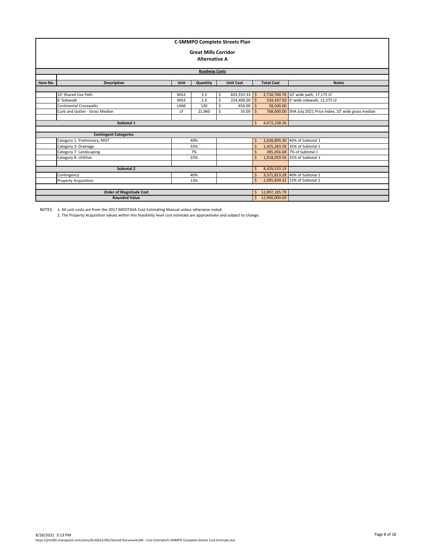|                                                                        | <b>C-SMMPO Complete Streets Plan</b> |             |                             |                                |                                |                    |                 |                                                             |  |  |  |
|------------------------------------------------------------------------|--------------------------------------|-------------|-----------------------------|--------------------------------|--------------------------------|--------------------|-----------------|-------------------------------------------------------------|--|--|--|
|                                                                        |                                      |             | <b>Great Mills Corridor</b> |                                |                                |                    |                 |                                                             |  |  |  |
|                                                                        |                                      |             | <b>Alternative A</b>        |                                |                                |                    |                 |                                                             |  |  |  |
|                                                                        |                                      |             |                             |                                |                                |                    |                 |                                                             |  |  |  |
|                                                                        | <b>Roadway Costs</b>                 |             |                             |                                |                                |                    |                 |                                                             |  |  |  |
|                                                                        |                                      |             |                             |                                |                                |                    |                 |                                                             |  |  |  |
| <b>Description</b><br>Quantity<br><b>Unit Cost</b><br>Item No.<br>Unit |                                      |             |                             |                                |                                |                    |                 | <b>Notes</b>                                                |  |  |  |
|                                                                        |                                      |             |                             |                                |                                |                    |                 |                                                             |  |  |  |
|                                                                        | 10' Shared Use Path                  | <b>MILE</b> | 3.3                         | Ś.                             | $833,333.33$ \$                |                    |                 | 2,710,700.76 10' wide path, 17,175 LF                       |  |  |  |
|                                                                        | 6' Sidewalk                          | <b>MILE</b> | 2.4                         |                                | 224,400.00 \$                  |                    |                 | 534,437.50 6' wide sidewalk, 12,575 LF                      |  |  |  |
|                                                                        | Continental Crosswalks               | LANE        | 130                         |                                | 450.00                         | l \$               | 58,500.00       |                                                             |  |  |  |
|                                                                        | Curb and Gutter - Grass Median       | LF          | 21,960                      |                                | 35.00                          |                    |                 | 768,600.00 SHA July 2021 Price Index, 10' wide grass median |  |  |  |
|                                                                        |                                      |             |                             |                                |                                |                    |                 |                                                             |  |  |  |
|                                                                        | Subtotal 1                           |             |                             |                                |                                | Ś.                 | 4,072,238.26    |                                                             |  |  |  |
|                                                                        |                                      |             |                             |                                |                                |                    |                 |                                                             |  |  |  |
|                                                                        | <b>Contingent Categories</b>         |             |                             |                                |                                |                    |                 |                                                             |  |  |  |
|                                                                        | Category 1: Preliminary, MOT         |             | 40%                         |                                |                                | Ś.                 |                 | 1,628,895.30 40% of Subtotal 1                              |  |  |  |
|                                                                        | Category 3: Drainage                 |             | 35%                         |                                |                                | Ś                  |                 | 1,425,283.39 35% of Subtotal 1                              |  |  |  |
|                                                                        | Category 7: Landscaping              |             | 7%                          |                                |                                | Ś                  |                 | 285,056.68 7% of Subtotal 1                                 |  |  |  |
|                                                                        | Category 8: Utilities                |             | 25%                         |                                |                                | $\mathsf{\hat{S}}$ |                 | 1,018,059.56 25% of Subtotal 1                              |  |  |  |
|                                                                        |                                      |             |                             |                                |                                |                    |                 |                                                             |  |  |  |
|                                                                        | Subtotal 2                           | Ś           | 8,429,533.19                |                                |                                |                    |                 |                                                             |  |  |  |
|                                                                        | Contingency                          | \$          |                             | 3,371,813.28 40% of Subtotal 2 |                                |                    |                 |                                                             |  |  |  |
|                                                                        | <b>Property Acquisition</b>          |             | Ś.                          |                                | 1,095,839.32 13% of Subtotal 2 |                    |                 |                                                             |  |  |  |
|                                                                        |                                      |             |                             |                                |                                |                    |                 |                                                             |  |  |  |
|                                                                        | <b>Order of Magnitude Cost</b>       |             |                             |                                |                                | \$.                | 12,897,185.79   |                                                             |  |  |  |
|                                                                        | <b>Rounded Value</b>                 |             |                             |                                |                                |                    | \$12,900,000.00 |                                                             |  |  |  |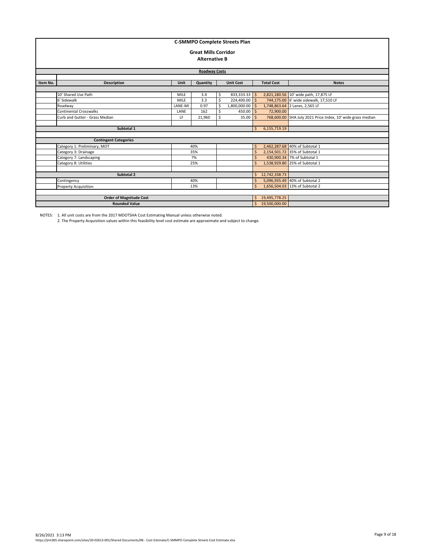|          | <b>C-SMMPO Complete Streets Plan</b><br><b>Great Mills Corridor</b><br><b>Alternative B</b> |                            |               |                                       |                                |         |                                   |                                                             |  |  |  |
|----------|---------------------------------------------------------------------------------------------|----------------------------|---------------|---------------------------------------|--------------------------------|---------|-----------------------------------|-------------------------------------------------------------|--|--|--|
|          |                                                                                             |                            |               |                                       |                                |         |                                   |                                                             |  |  |  |
|          | <b>Roadway Costs</b>                                                                        |                            |               |                                       |                                |         |                                   |                                                             |  |  |  |
|          |                                                                                             |                            |               |                                       |                                |         |                                   |                                                             |  |  |  |
| Item No. | <b>Description</b>                                                                          | Unit                       | Quantity      |                                       | <b>Unit Cost</b>               |         | <b>Total Cost</b><br><b>Notes</b> |                                                             |  |  |  |
|          | 10' Shared Use Path                                                                         |                            |               | 2,821,180.56 10' wide path, 17,875 LF |                                |         |                                   |                                                             |  |  |  |
|          | 6' Sidewalk                                                                                 | <b>MILE</b><br><b>MILE</b> | 3.4<br>3.3    | \$<br>Š.                              | 833,333.33 \$<br>224,400.00 \$ |         |                                   | 744,175.00 6' wide sidewalk, 17,510 LF                      |  |  |  |
|          | Roadway                                                                                     | LANE-MI                    | 0.97          | Ś                                     | $1,800,000.00$ \$              |         |                                   | 1,748,863.64 2 Lanes, 2,565 LF                              |  |  |  |
|          | Continental Crosswalks<br>162<br>LANE                                                       |                            |               |                                       | $450.00$ S                     |         | 72,900.00                         |                                                             |  |  |  |
|          | Curb and Gutter - Grass Median                                                              | LF                         | 21.960        |                                       | 35.00                          | Š.      |                                   | 768,600.00 SHA July 2021 Price Index, 10' wide grass median |  |  |  |
|          |                                                                                             |                            |               |                                       |                                |         |                                   |                                                             |  |  |  |
|          | Subtotal 1                                                                                  |                            |               |                                       |                                | Ś.      | 6,155,719.19                      |                                                             |  |  |  |
|          |                                                                                             |                            |               |                                       |                                |         |                                   |                                                             |  |  |  |
|          | <b>Contingent Categories</b>                                                                |                            |               |                                       |                                |         |                                   |                                                             |  |  |  |
|          | Category 1: Preliminary, MOT                                                                |                            | 40%           |                                       |                                | Ŝ.      |                                   | 2,462,287.68 40% of Subtotal 1                              |  |  |  |
|          | Category 3: Drainage                                                                        |                            | 35%           |                                       |                                | $\zeta$ |                                   | 2,154,501.72 35% of Subtotal 1                              |  |  |  |
|          | Category 7: Landscaping                                                                     |                            | 7%            |                                       |                                | Ś       |                                   | 430,900.34 7% of Subtotal 1                                 |  |  |  |
|          | Category 8: Utilities                                                                       |                            | 25%           |                                       |                                | Ś       |                                   | 1,538,929.80 25% of Subtotal 1                              |  |  |  |
|          |                                                                                             |                            |               |                                       |                                |         |                                   |                                                             |  |  |  |
|          | Subtotal 2                                                                                  | Ś.                         | 12,742,338.73 |                                       |                                |         |                                   |                                                             |  |  |  |
|          | Contingency                                                                                 | Ś                          |               | 5,096,935.49 40% of Subtotal 2        |                                |         |                                   |                                                             |  |  |  |
|          | <b>Property Acquisition</b>                                                                 | $\mathsf{\dot{S}}$         |               | 1,656,504.03 13% of Subtotal 2        |                                |         |                                   |                                                             |  |  |  |
|          |                                                                                             |                            |               |                                       |                                |         |                                   |                                                             |  |  |  |
|          | <b>Order of Magnitude Cost</b>                                                              |                            |               |                                       |                                | Ś.      | 19,495,778.25                     |                                                             |  |  |  |
|          | <b>Rounded Value</b>                                                                        |                            |               |                                       |                                |         | \$19,500,000.00                   |                                                             |  |  |  |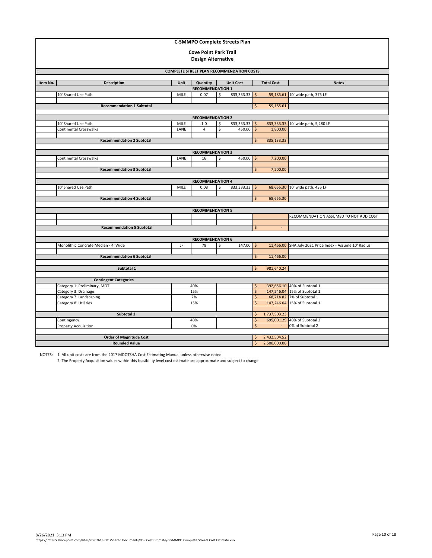|          | <b>C-SMMPO Complete Streets Plan</b>                 |                    |                                     |              |                  |                        |              |                                                              |  |  |  |  |
|----------|------------------------------------------------------|--------------------|-------------------------------------|--------------|------------------|------------------------|--------------|--------------------------------------------------------------|--|--|--|--|
|          | <b>Cove Point Park Trail</b>                         |                    |                                     |              |                  |                        |              |                                                              |  |  |  |  |
|          |                                                      |                    | <b>Design Alternative</b>           |              |                  |                        |              |                                                              |  |  |  |  |
|          |                                                      |                    |                                     |              |                  |                        |              |                                                              |  |  |  |  |
|          | <b>COMPLETE STREET PLAN RECOMMENDATION COSTS</b>     |                    |                                     |              |                  |                        |              |                                                              |  |  |  |  |
| Item No. | <b>Description</b>                                   |                    | <b>Total Cost</b>                   | <b>Notes</b> |                  |                        |              |                                                              |  |  |  |  |
|          |                                                      | Unit               | Quantity<br><b>RECOMMENDATION 1</b> |              | <b>Unit Cost</b> |                        |              |                                                              |  |  |  |  |
|          | 10' Shared Use Path                                  | MILE               | 0.07                                | \$           | $833,333.33$ \$  |                        |              | 59,185.61 10' wide path, 375 LF                              |  |  |  |  |
|          |                                                      |                    |                                     |              |                  |                        |              |                                                              |  |  |  |  |
|          | <b>Recommendation 1 Subtotal</b>                     |                    |                                     |              |                  | \$                     | 59,185.61    |                                                              |  |  |  |  |
|          |                                                      |                    | <b>RECOMMENDATION 2</b>             |              |                  |                        |              |                                                              |  |  |  |  |
|          | 10' Shared Use Path                                  | MILE               | 1.0                                 | \$           | $833,333.33$ \$  |                        |              | 833,333.33 10' wide path, 5,280 LF                           |  |  |  |  |
|          | Continental Crosswalks                               | LANE               | 4                                   | \$           | $450.00$ \$      |                        | 1,800.00     |                                                              |  |  |  |  |
|          |                                                      |                    |                                     |              |                  |                        |              |                                                              |  |  |  |  |
|          | <b>Recommendation 2 Subtotal</b>                     |                    |                                     |              |                  | \$                     | 835,133.33   |                                                              |  |  |  |  |
|          | <b>RECOMMENDATION 3</b>                              |                    |                                     |              |                  |                        |              |                                                              |  |  |  |  |
|          | Continental Crosswalks                               | LANE               | 16                                  | \$           | 450.00 \$        |                        | 7,200.00     |                                                              |  |  |  |  |
|          |                                                      |                    |                                     |              |                  |                        |              |                                                              |  |  |  |  |
|          | <b>Recommendation 3 Subtotal</b>                     |                    | \$                                  | 7,200.00     |                  |                        |              |                                                              |  |  |  |  |
|          |                                                      |                    |                                     |              |                  |                        |              |                                                              |  |  |  |  |
|          | 10' Shared Use Path                                  | MILE               | <b>RECOMMENDATION 4</b><br>0.08     | \$           | $833,333.33$ \$  |                        |              | 68,655.30 10' wide path, 435 LF                              |  |  |  |  |
|          |                                                      |                    |                                     |              |                  |                        |              |                                                              |  |  |  |  |
|          | <b>Recommendation 4 Subtotal</b><br>\$               |                    |                                     |              |                  |                        |              |                                                              |  |  |  |  |
|          |                                                      |                    |                                     |              |                  |                        |              |                                                              |  |  |  |  |
|          |                                                      |                    | <b>RECOMMENDATION 5</b>             |              |                  |                        |              |                                                              |  |  |  |  |
|          |                                                      |                    |                                     |              |                  |                        |              | RECOMMENDATION ASSUMED TO NOT ADD COST                       |  |  |  |  |
|          | <b>Recommendation 5 Subtotal</b>                     |                    |                                     |              |                  | \$                     |              |                                                              |  |  |  |  |
|          |                                                      |                    |                                     |              |                  |                        |              |                                                              |  |  |  |  |
|          |                                                      |                    | <b>RECOMMENDATION 6</b>             |              |                  |                        |              |                                                              |  |  |  |  |
|          | Monolithic Concrete Median - 4' Wide                 | LF                 | 78                                  | Ś            | $147.00$ \$      |                        | 11,466.00    | SHA July 2021 Price Index - Assume 10' Radius                |  |  |  |  |
|          | <b>Recommendation 6 Subtotal</b>                     |                    |                                     |              |                  | Ś                      | 11,466.00    |                                                              |  |  |  |  |
|          |                                                      |                    |                                     |              |                  |                        |              |                                                              |  |  |  |  |
|          | Subtotal 1                                           |                    |                                     |              |                  | Ŝ.                     | 981,640.24   |                                                              |  |  |  |  |
|          |                                                      |                    |                                     |              |                  |                        |              |                                                              |  |  |  |  |
|          | <b>Contingent Categories</b>                         |                    |                                     |              |                  |                        |              |                                                              |  |  |  |  |
|          | Category 1: Preliminary, MOT<br>Category 3: Drainage |                    | 40%<br>15%                          |              |                  | \$<br>$\overline{\xi}$ |              | 392,656.10 40% of Subtotal 1<br>147,246.04 15% of Subtotal 1 |  |  |  |  |
|          | Category 7: Landscaping                              | 7%                 |                                     |              |                  | \$                     |              | 68,714.82 7% of Subtotal 1                                   |  |  |  |  |
|          | Category 8: Utilities                                | 15%                |                                     |              |                  | $\mathsf{\hat{S}}$     |              | 147,246.04 15% of Subtotal 1                                 |  |  |  |  |
|          |                                                      |                    |                                     |              |                  |                        |              |                                                              |  |  |  |  |
|          | Subtotal 2                                           |                    |                                     |              |                  | \$<br>$\overline{\xi}$ | 1,737,503.23 |                                                              |  |  |  |  |
|          | Contingency                                          | 40%<br>0%          |                                     |              |                  |                        | 695,001.29   | 40% of Subtotal 2<br>0% of Subtotal 2                        |  |  |  |  |
|          | Property Acquisition                                 | \$                 |                                     |              |                  |                        |              |                                                              |  |  |  |  |
|          | <b>Order of Magnitude Cost</b>                       | $\mathsf{\hat{S}}$ | 2,432,504.52                        |              |                  |                        |              |                                                              |  |  |  |  |
|          | <b>Rounded Value</b>                                 |                    |                                     |              |                  | \$                     | 2,500,000.00 |                                                              |  |  |  |  |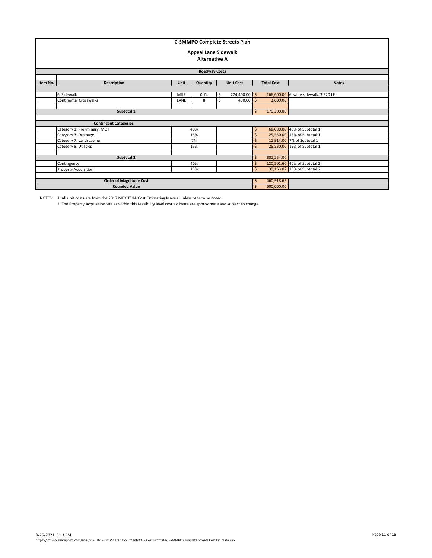|          | <b>C-SMMPO Complete Streets Plan</b><br><b>Appeal Lane Sidewalk</b><br><b>Alternative A</b><br><b>Roadway Costs</b> |                  |              |                   |                              |         |            |                                       |  |  |  |  |
|----------|---------------------------------------------------------------------------------------------------------------------|------------------|--------------|-------------------|------------------------------|---------|------------|---------------------------------------|--|--|--|--|
| Item No. | <b>Description</b>                                                                                                  | <b>Unit Cost</b> |              | <b>Total Cost</b> | <b>Notes</b>                 |         |            |                                       |  |  |  |  |
|          |                                                                                                                     |                  |              |                   |                              |         |            |                                       |  |  |  |  |
|          | 6' Sidewalk                                                                                                         | <b>MILE</b>      | 0.74         | Ŝ.                | $224,400.00$ \$              |         |            | 166,600.00 6' wide sidewalk, 3,920 LF |  |  |  |  |
|          | $450.00$ \$<br><b>Continental Crosswalks</b><br>LANE<br>8                                                           |                  |              |                   |                              |         |            |                                       |  |  |  |  |
|          |                                                                                                                     |                  |              |                   |                              |         |            |                                       |  |  |  |  |
|          | Subtotal 1                                                                                                          |                  | $\mathsf{S}$ | 170,200.00        |                              |         |            |                                       |  |  |  |  |
|          |                                                                                                                     |                  |              |                   |                              |         |            |                                       |  |  |  |  |
|          | <b>Contingent Categories</b>                                                                                        |                  |              |                   |                              |         |            |                                       |  |  |  |  |
|          | Category 1: Preliminary, MOT                                                                                        |                  | 40%          |                   |                              | \$      |            | 68,080.00 40% of Subtotal 1           |  |  |  |  |
|          | Category 3: Drainage                                                                                                |                  | 15%          |                   |                              | Ś       |            | 25,530.00 15% of Subtotal 1           |  |  |  |  |
|          | Category 7: Landscaping                                                                                             |                  | 7%           |                   |                              | Ś       |            | 11,914.00 7% of Subtotal 1            |  |  |  |  |
|          | Category 8: Utilities                                                                                               |                  | 15%          |                   |                              | $\zeta$ |            | 25,530.00 15% of Subtotal 1           |  |  |  |  |
|          |                                                                                                                     |                  |              |                   |                              |         |            |                                       |  |  |  |  |
|          | Subtotal 2                                                                                                          |                  |              |                   |                              | Ŝ       | 301,254.00 |                                       |  |  |  |  |
|          | Contingency                                                                                                         |                  | Ś            |                   | 120,501.60 40% of Subtotal 2 |         |            |                                       |  |  |  |  |
|          | <b>Property Acquisition</b>                                                                                         |                  | $\mathsf{S}$ |                   | 39,163.02 13% of Subtotal 2  |         |            |                                       |  |  |  |  |
|          |                                                                                                                     |                  |              |                   |                              |         |            |                                       |  |  |  |  |
|          | <b>Order of Magnitude Cost</b>                                                                                      |                  |              |                   |                              | \$      | 460,918.62 |                                       |  |  |  |  |
|          | <b>Rounded Value</b>                                                                                                |                  |              |                   |                              | \$      | 500,000.00 |                                       |  |  |  |  |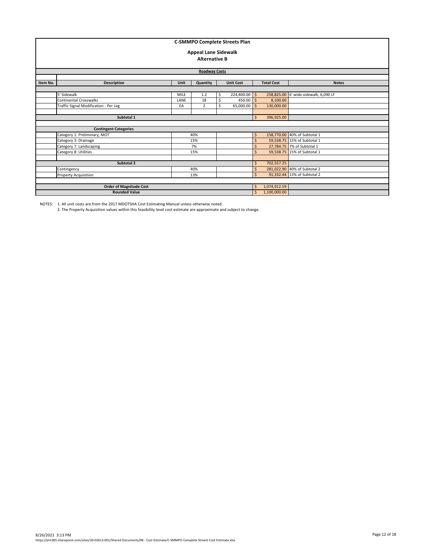|          | <b>C-SMMPO Complete Streets Plan</b><br><b>Appeal Lane Sidewalk</b><br><b>Alternative B</b><br><b>Roadway Costs</b> |             |                   |              |                              |                    |                        |                                       |  |  |  |  |
|----------|---------------------------------------------------------------------------------------------------------------------|-------------|-------------------|--------------|------------------------------|--------------------|------------------------|---------------------------------------|--|--|--|--|
| Item No. | Description                                                                                                         |             | <b>Total Cost</b> | <b>Notes</b> |                              |                    |                        |                                       |  |  |  |  |
|          |                                                                                                                     |             |                   |              |                              |                    |                        |                                       |  |  |  |  |
|          | 5' Sidewalk                                                                                                         | <b>MILE</b> | 1.2               | Ś            | 224,400.00 \$                |                    |                        | 258,825.00 6' wide sidewalk, 6,090 LF |  |  |  |  |
|          | <b>Continental Crosswalks</b>                                                                                       | LANE        | 18                | \$           | $450.00$ \$                  |                    | 8,100.00<br>130,000.00 |                                       |  |  |  |  |
|          | Ś<br>65,000.00<br>Traffic Signal Modification - Per Leg<br>S.<br>$\overline{2}$<br>EA                               |             |                   |              |                              |                    |                        |                                       |  |  |  |  |
|          |                                                                                                                     |             |                   |              |                              |                    |                        |                                       |  |  |  |  |
|          | Subtotal 1                                                                                                          |             |                   |              |                              | \$                 | 396,925.00             |                                       |  |  |  |  |
|          |                                                                                                                     |             |                   |              |                              |                    |                        |                                       |  |  |  |  |
|          | <b>Contingent Categories</b>                                                                                        |             |                   |              |                              |                    |                        |                                       |  |  |  |  |
|          | Category 1: Preliminary, MOT                                                                                        |             | 40%               |              |                              | \$                 |                        | 158,770.00 40% of Subtotal 1          |  |  |  |  |
|          | Category 3: Drainage                                                                                                |             | 15%               |              |                              | $\zeta$            |                        | 59,538.75 15% of Subtotal 1           |  |  |  |  |
|          | Category 7: Landscaping                                                                                             |             | 7%                |              |                              | $\mathsf{\hat{S}}$ |                        | 27,784.75 7% of Subtotal 1            |  |  |  |  |
|          | Category 8: Utilities                                                                                               |             | 15%               |              |                              | $\mathsf{S}$       |                        | 59,538.75 15% of Subtotal 1           |  |  |  |  |
|          |                                                                                                                     |             |                   |              |                              |                    |                        |                                       |  |  |  |  |
|          | Subtotal 2                                                                                                          | Ŝ.          | 702,557.25        |              |                              |                    |                        |                                       |  |  |  |  |
|          | Contingency                                                                                                         |             | Ŝ.                |              | 281,022.90 40% of Subtotal 2 |                    |                        |                                       |  |  |  |  |
|          | <b>Property Acquisition</b>                                                                                         |             | $\mathsf{S}$      |              | 91,332.44 13% of Subtotal 2  |                    |                        |                                       |  |  |  |  |
|          |                                                                                                                     |             |                   |              |                              |                    |                        |                                       |  |  |  |  |
|          | <b>Order of Magnitude Cost</b>                                                                                      | Ŝ.          | 1,074,912.59      |              |                              |                    |                        |                                       |  |  |  |  |
|          | <b>Rounded Value</b>                                                                                                |             |                   |              |                              | $\mathsf{S}$       | 1,100,000.00           |                                       |  |  |  |  |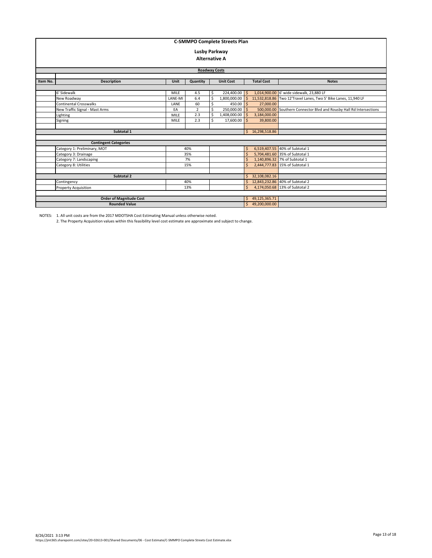| <b>C-SMMPO Complete Streets Plan</b> |                                |                  |                |                   |               |              |                 |                                                                     |  |  |  |  |  |  |
|--------------------------------------|--------------------------------|------------------|----------------|-------------------|---------------|--------------|-----------------|---------------------------------------------------------------------|--|--|--|--|--|--|
|                                      |                                |                  |                |                   |               |              |                 |                                                                     |  |  |  |  |  |  |
|                                      | <b>Lusby Parkway</b>           |                  |                |                   |               |              |                 |                                                                     |  |  |  |  |  |  |
| <b>Alternative A</b>                 |                                |                  |                |                   |               |              |                 |                                                                     |  |  |  |  |  |  |
|                                      |                                |                  |                |                   |               |              |                 |                                                                     |  |  |  |  |  |  |
| <b>Roadway Costs</b>                 |                                |                  |                |                   |               |              |                 |                                                                     |  |  |  |  |  |  |
|                                      | Quantity<br>Unit               |                  |                |                   |               |              |                 |                                                                     |  |  |  |  |  |  |
| Item No.                             | <b>Description</b>             | <b>Unit Cost</b> |                | <b>Total Cost</b> | <b>Notes</b>  |              |                 |                                                                     |  |  |  |  |  |  |
|                                      |                                |                  |                |                   |               |              |                 |                                                                     |  |  |  |  |  |  |
|                                      | 6' Sidewalk                    | <b>MILE</b>      | 4.5            | \$                | 224,400.00 \$ |              |                 | 1,014,900.00 6' wide sidewalk, 23,880 LF                            |  |  |  |  |  |  |
|                                      | New Roadway                    | LANE-MI          | 6.4            | Ś                 | 1,800,000.00  |              |                 | 11,532,818.86 Two 12'Travel Lanes, Two 5' Bike Lanes, 11,940 LF     |  |  |  |  |  |  |
|                                      | <b>Continental Crosswalks</b>  | LANE             | 60             | Ś                 | 450.00        | -Ś           | 27,000.00       |                                                                     |  |  |  |  |  |  |
|                                      | New Traffic Signal - Mast Arms | EA               | $\overline{2}$ | Ś                 | 250,000.00    |              |                 | 500,000.00 Southern Connector Blvd and Rousby Hall Rd Intersections |  |  |  |  |  |  |
|                                      | Lighting                       | <b>MILE</b>      | 2.3            | Ś                 | 1,408,000.00  |              | 3,184,000.00    |                                                                     |  |  |  |  |  |  |
|                                      | Signing                        | MILE             | 2.3            | ς                 | 17,600.00     | $\varsigma$  | 39,800.00       |                                                                     |  |  |  |  |  |  |
|                                      |                                |                  |                |                   |               |              |                 |                                                                     |  |  |  |  |  |  |
|                                      | Subtotal 1                     |                  |                |                   |               |              | \$16,298,518.86 |                                                                     |  |  |  |  |  |  |
|                                      |                                |                  |                |                   |               |              |                 |                                                                     |  |  |  |  |  |  |
|                                      | <b>Contingent Categories</b>   |                  |                |                   |               |              |                 |                                                                     |  |  |  |  |  |  |
|                                      | Category 1: Preliminary, MOT   |                  | 40%            |                   |               | Š.           |                 | 6,519,407.55 40% of Subtotal 1                                      |  |  |  |  |  |  |
|                                      | Category 3: Drainage           |                  | 35%            |                   |               |              |                 | 5,704,481.60 35% of Subtotal 1                                      |  |  |  |  |  |  |
|                                      | Category 7: Landscaping        |                  | 7%             |                   |               |              |                 | 1,140,896.32 7% of Subtotal 1                                       |  |  |  |  |  |  |
|                                      | Category 8: Utilities          |                  | 15%            |                   |               |              |                 | 2,444,777.83 15% of Subtotal 1                                      |  |  |  |  |  |  |
|                                      |                                |                  |                |                   |               |              |                 |                                                                     |  |  |  |  |  |  |
|                                      | Subtotal 2                     |                  |                |                   |               |              | 32,108,082.16   |                                                                     |  |  |  |  |  |  |
|                                      | Contingency<br>40%             |                  |                |                   |               |              |                 | 12,843,232.86 40% of Subtotal 2                                     |  |  |  |  |  |  |
|                                      | <b>Property Acquisition</b>    |                  | 13%            |                   |               | $\mathsf{S}$ |                 | 4,174,050.68 13% of Subtotal 2                                      |  |  |  |  |  |  |
|                                      |                                |                  |                |                   |               |              |                 |                                                                     |  |  |  |  |  |  |
|                                      | <b>Order of Magnitude Cost</b> |                  |                |                   |               | S.           | 49,125,365.71   |                                                                     |  |  |  |  |  |  |
|                                      | <b>Rounded Value</b>           |                  |                |                   |               |              | 49,200,000.00   |                                                                     |  |  |  |  |  |  |

NOTES: 1. All unit costs are from the 2017 MDOTSHA Cost Estimating Manual unless otherwise noted. 2. The Property Acquisition values within this feasibility level cost estimate are approximate and subject to change.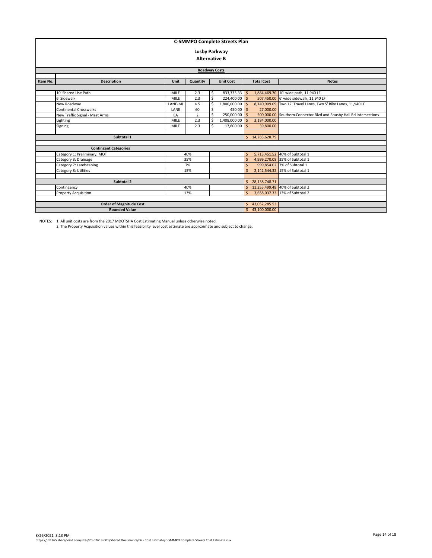| <b>C-SMMPO Complete Streets Plan</b> |                                      |                                   |                      |     |                                 |              |                 |                                                                 |  |  |  |  |  |  |
|--------------------------------------|--------------------------------------|-----------------------------------|----------------------|-----|---------------------------------|--------------|-----------------|-----------------------------------------------------------------|--|--|--|--|--|--|
| <b>Lusby Parkway</b>                 |                                      |                                   |                      |     |                                 |              |                 |                                                                 |  |  |  |  |  |  |
|                                      |                                      |                                   | <b>Alternative B</b> |     |                                 |              |                 |                                                                 |  |  |  |  |  |  |
|                                      |                                      |                                   |                      |     |                                 |              |                 |                                                                 |  |  |  |  |  |  |
| <b>Roadway Costs</b>                 |                                      |                                   |                      |     |                                 |              |                 |                                                                 |  |  |  |  |  |  |
|                                      | Unit<br>Quantity<br><b>Unit Cost</b> |                                   |                      |     |                                 |              |                 |                                                                 |  |  |  |  |  |  |
| Item No.                             | <b>Description</b>                   | <b>Total Cost</b><br><b>Notes</b> |                      |     |                                 |              |                 |                                                                 |  |  |  |  |  |  |
|                                      |                                      |                                   |                      |     |                                 |              |                 |                                                                 |  |  |  |  |  |  |
|                                      | 10' Shared Use Path                  | <b>MILE</b>                       | 2.3                  | \$. | 833,333.33                      | Ś.           |                 | 1,884,469.70 10' wide path, 11,940 LF                           |  |  |  |  |  |  |
|                                      | 6' Sidewalk                          | <b>MILE</b>                       | 2.3                  | Ś   | 224,400.00                      | Ś.           | 507,450.00      | 6' wide sidewalk, 11,940 LF                                     |  |  |  |  |  |  |
|                                      | New Roadway                          | LANE-MI                           | 4.5                  | Ŝ   | 1,800,000.00                    | Ś.           |                 | 8,140,909.09 Two 12' Travel Lanes, Two 5' Bike Lanes, 11,940 LF |  |  |  |  |  |  |
|                                      | Continental Crosswalks               | LANE                              | 60                   | \$  | 450.00                          | $\mathsf{S}$ | 27,000.00       |                                                                 |  |  |  |  |  |  |
|                                      | New Traffic Signal - Mast Arms       | EA                                | $\overline{2}$       | Ś   | 250,000.00                      | $\mathsf{S}$ | 500,000.00      | Southern Connector Blvd and Rousby Hall Rd Intersections        |  |  |  |  |  |  |
|                                      | Lighting                             | <b>MILE</b>                       | 2.3                  | \$  | 1,408,000.00                    | Ś.           | 3,184,000.00    |                                                                 |  |  |  |  |  |  |
|                                      | Signing                              | <b>MILE</b>                       | 2.3                  | Ŝ   | 17,600.00                       | Ś.           | 39,800.00       |                                                                 |  |  |  |  |  |  |
|                                      |                                      |                                   |                      |     |                                 |              |                 |                                                                 |  |  |  |  |  |  |
|                                      | Subtotal 1                           |                                   |                      |     |                                 |              | \$14,283,628.79 |                                                                 |  |  |  |  |  |  |
|                                      |                                      |                                   |                      |     |                                 |              |                 |                                                                 |  |  |  |  |  |  |
|                                      | <b>Contingent Categories</b>         |                                   |                      |     |                                 |              |                 |                                                                 |  |  |  |  |  |  |
|                                      | Category 1: Preliminary, MOT         |                                   | 40%                  |     |                                 | Ś.           |                 | 5,713,451.52 40% of Subtotal 1                                  |  |  |  |  |  |  |
|                                      | Category 3: Drainage                 |                                   | 35%                  |     |                                 | Ś            |                 | 4.999.270.08 35% of Subtotal 1                                  |  |  |  |  |  |  |
|                                      | Category 7: Landscaping              |                                   | 7%                   |     |                                 | Ś.           |                 | 999,854.02 7% of Subtotal 1                                     |  |  |  |  |  |  |
|                                      | Category 8: Utilities                |                                   | 15%                  |     |                                 | Ś.           |                 | 2.142.544.32 15% of Subtotal 1                                  |  |  |  |  |  |  |
|                                      |                                      |                                   |                      |     |                                 |              |                 |                                                                 |  |  |  |  |  |  |
|                                      | Subtotal 2                           |                                   |                      |     |                                 | Ś.           | 28,138,748.71   |                                                                 |  |  |  |  |  |  |
|                                      | Contingency                          |                                   | S.                   |     | 11,255,499.48 40% of Subtotal 2 |              |                 |                                                                 |  |  |  |  |  |  |
|                                      | <b>Property Acquisition</b>          |                                   | 13%                  |     |                                 | Ś.           |                 | 3,658,037.33 13% of Subtotal 2                                  |  |  |  |  |  |  |
|                                      |                                      |                                   |                      |     |                                 |              |                 |                                                                 |  |  |  |  |  |  |
|                                      | <b>Order of Magnitude Cost</b>       |                                   |                      |     |                                 | Ś.           | 43,052,285.53   |                                                                 |  |  |  |  |  |  |
|                                      | <b>Rounded Value</b>                 |                                   |                      |     |                                 | S.           | 43,100,000.00   |                                                                 |  |  |  |  |  |  |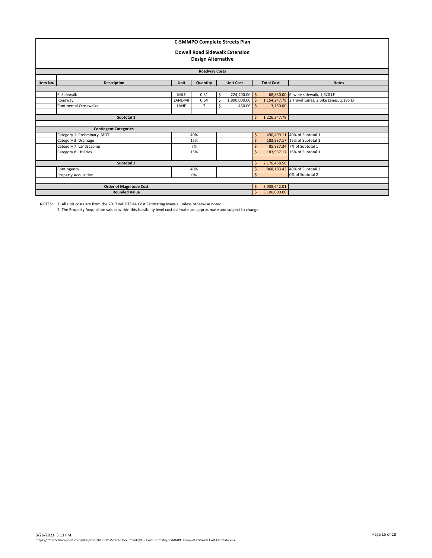| <b>C-SMMPO Complete Streets Plan</b><br><b>Dowell Road Sidewalk Extension</b><br><b>Design Alternative</b> |                                                         |                                |                                |              |                                                |              |              |                                                                                             |  |  |  |
|------------------------------------------------------------------------------------------------------------|---------------------------------------------------------|--------------------------------|--------------------------------|--------------|------------------------------------------------|--------------|--------------|---------------------------------------------------------------------------------------------|--|--|--|
| <b>Roadway Costs</b>                                                                                       |                                                         |                                |                                |              |                                                |              |              |                                                                                             |  |  |  |
| Item No.                                                                                                   | Description                                             |                                | <b>Total Cost</b>              | <b>Notes</b> |                                                |              |              |                                                                                             |  |  |  |
|                                                                                                            | 6' Sidewalk<br>Roadway<br><b>Continental Crosswalks</b> | <b>MILE</b><br>LANE-MI<br>LANE | 0.31<br>0.64<br>$\overline{7}$ | Ŝ<br>Ś<br>Ś  | $224,400.00$ \$<br>$1,800,000.00$ \$<br>450.00 | $\mathsf{S}$ | 3,150.00     | 68,850.00 6' wide sidewalk, 1,620 LF<br>1,154,247.78 2 Travel Lanes, 2 Bike Lanes, 1,195 LF |  |  |  |
|                                                                                                            | Subtotal 1                                              |                                |                                |              |                                                | Ś.           | 1,226,247.78 |                                                                                             |  |  |  |
|                                                                                                            | <b>Contingent Categories</b>                            |                                |                                |              |                                                |              |              |                                                                                             |  |  |  |
|                                                                                                            | Category 1: Preliminary, MOT                            |                                | 40%                            |              |                                                | \$           |              | 490,499.11 40% of Subtotal 1                                                                |  |  |  |
|                                                                                                            | Category 3: Drainage                                    |                                | 15%                            |              |                                                | Ś            |              | 183,937.17 15% of Subtotal 1                                                                |  |  |  |
|                                                                                                            | Category 7: Landscaping                                 |                                | 7%                             |              |                                                | \$           |              | 85,837.34 7% of Subtotal 1                                                                  |  |  |  |
|                                                                                                            | Category 8: Utilities                                   |                                | 15%                            |              |                                                | Ś            |              | 183,937.17 15% of Subtotal 1                                                                |  |  |  |
|                                                                                                            | Subtotal 2                                              |                                |                                |              |                                                | Ś            | 2,170,458.58 |                                                                                             |  |  |  |
|                                                                                                            | 40%<br>Contingency                                      |                                |                                |              |                                                |              |              | 868,183.43 40% of Subtotal 2                                                                |  |  |  |
| <b>Property Acquisition</b><br>0%                                                                          |                                                         |                                |                                |              |                                                |              |              | 0% of Subtotal 2                                                                            |  |  |  |
|                                                                                                            |                                                         |                                |                                |              |                                                |              |              |                                                                                             |  |  |  |
|                                                                                                            | <b>Order of Magnitude Cost</b>                          |                                |                                |              |                                                | Ŝ.           | 3,038,642.01 |                                                                                             |  |  |  |
|                                                                                                            | <b>Rounded Value</b>                                    | $\mathsf{S}$                   | 3,100,000.00                   |              |                                                |              |              |                                                                                             |  |  |  |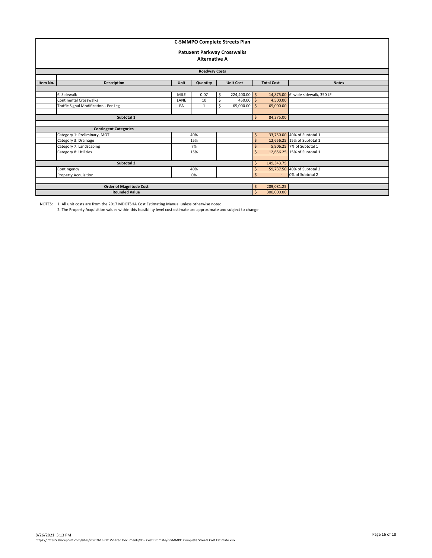| <b>C-SMMPO Complete Streets Plan</b><br><b>Patuxent Parkway Crosswalks</b><br><b>Alternative A</b><br><b>Roadway Costs</b> |                                       |                    |              |            |                  |              |                                   |                                    |  |  |  |
|----------------------------------------------------------------------------------------------------------------------------|---------------------------------------|--------------------|--------------|------------|------------------|--------------|-----------------------------------|------------------------------------|--|--|--|
| Item No.                                                                                                                   | Description                           | Unit               | Quantity     |            | <b>Unit Cost</b> |              | <b>Total Cost</b><br><b>Notes</b> |                                    |  |  |  |
|                                                                                                                            |                                       |                    |              |            |                  |              |                                   |                                    |  |  |  |
|                                                                                                                            | 6' Sidewalk                           | <b>MILE</b>        | 0.07         | Ś          | $224,400.00$ \$  |              |                                   | 14,875.00 6' wide sidewalk, 350 LF |  |  |  |
|                                                                                                                            | Continental Crosswalks                | LANE               | 10           | \$         | $450.00$ \$      |              | 4,500.00                          |                                    |  |  |  |
|                                                                                                                            | Traffic Signal Modification - Per Leg | EA                 | $\mathbf{1}$ | \$         | 65,000.00        | $\leq$       | 65,000.00                         |                                    |  |  |  |
|                                                                                                                            |                                       |                    |              |            |                  |              |                                   |                                    |  |  |  |
|                                                                                                                            | Subtotal 1                            |                    |              |            |                  | \$           | 84,375.00                         |                                    |  |  |  |
|                                                                                                                            |                                       |                    |              |            |                  |              |                                   |                                    |  |  |  |
|                                                                                                                            | <b>Contingent Categories</b>          |                    |              |            |                  |              |                                   |                                    |  |  |  |
|                                                                                                                            | Category 1: Preliminary, MOT          |                    | 40%          |            |                  | \$           |                                   | 33,750.00 40% of Subtotal 1        |  |  |  |
|                                                                                                                            | Category 3: Drainage                  |                    | 15%          |            |                  | Ś            |                                   | 12,656.25 15% of Subtotal 1        |  |  |  |
|                                                                                                                            | Category 7: Landscaping               |                    | 7%           |            |                  | Ś            |                                   | 5,906.25 7% of Subtotal 1          |  |  |  |
|                                                                                                                            | Category 8: Utilities                 |                    | 15%          |            |                  | Ś            |                                   | 12,656.25 15% of Subtotal 1        |  |  |  |
|                                                                                                                            |                                       |                    |              |            |                  |              |                                   |                                    |  |  |  |
|                                                                                                                            | Subtotal 2                            |                    | Ŝ.<br>\$     | 149,343.75 |                  |              |                                   |                                    |  |  |  |
|                                                                                                                            | Contingency                           | 40%                |              |            |                  |              |                                   | 59,737.50 40% of Subtotal 2        |  |  |  |
|                                                                                                                            | <b>Property Acquisition</b>           |                    | 0%           |            |                  | $\mathsf{S}$ |                                   | 0% of Subtotal 2                   |  |  |  |
|                                                                                                                            |                                       |                    |              |            |                  |              |                                   |                                    |  |  |  |
|                                                                                                                            | <b>Order of Magnitude Cost</b>        |                    |              |            |                  | \$           | 209,081.25                        |                                    |  |  |  |
|                                                                                                                            | <b>Rounded Value</b>                  | $\mathsf{\hat{S}}$ | 300,000.00   |            |                  |              |                                   |                                    |  |  |  |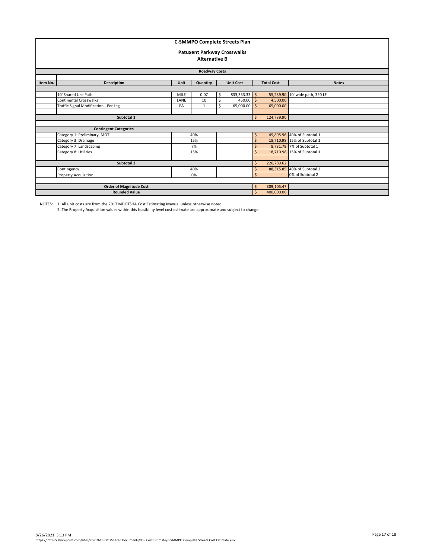| <b>C-SMMPO Complete Streets Plan</b><br><b>Patuxent Parkway Crosswalks</b><br><b>Alternative B</b><br><b>Roadway Costs</b> |                                       |                    |              |                   |                 |                    |            |                                 |  |  |
|----------------------------------------------------------------------------------------------------------------------------|---------------------------------------|--------------------|--------------|-------------------|-----------------|--------------------|------------|---------------------------------|--|--|
| Item No.                                                                                                                   | Description                           | <b>Unit Cost</b>   |              | <b>Total Cost</b> | <b>Notes</b>    |                    |            |                                 |  |  |
|                                                                                                                            |                                       | Unit               | Quantity     |                   |                 |                    |            |                                 |  |  |
|                                                                                                                            | 10' Shared Use Path                   | <b>MILE</b>        | 0.07         | Ś                 | $833,333.33$ \$ |                    |            | 55,239.90 10' wide path, 350 LF |  |  |
|                                                                                                                            | <b>Continental Crosswalks</b>         | LANE               | 10           | \$                | $450.00$ \$     |                    | 4,500.00   |                                 |  |  |
|                                                                                                                            | Traffic Signal Modification - Per Leg | EA                 | $\mathbf{1}$ | \$                | 65,000.00       | $\leq$             | 65,000.00  |                                 |  |  |
|                                                                                                                            |                                       |                    |              |                   |                 |                    |            |                                 |  |  |
|                                                                                                                            | Subtotal 1                            |                    |              |                   |                 | $\mathsf{S}$       | 124,739.90 |                                 |  |  |
|                                                                                                                            |                                       |                    |              |                   |                 |                    |            |                                 |  |  |
|                                                                                                                            | <b>Contingent Categories</b>          |                    |              |                   |                 |                    |            |                                 |  |  |
|                                                                                                                            | Category 1: Preliminary, MOT          |                    | 40%          |                   |                 | \$                 |            | 49,895.96 40% of Subtotal 1     |  |  |
|                                                                                                                            | Category 3: Drainage                  |                    | 15%          |                   |                 | $\mathsf{\hat{S}}$ |            | 18,710.98 15% of Subtotal 1     |  |  |
|                                                                                                                            | Category 7: Landscaping               |                    | 7%           |                   |                 | $\mathsf{\hat{S}}$ |            | 8,731.79 7% of Subtotal 1       |  |  |
|                                                                                                                            | Category 8: Utilities                 |                    | 15%          |                   |                 | $\mathsf{\hat{S}}$ |            | 18,710.98 15% of Subtotal 1     |  |  |
|                                                                                                                            |                                       |                    |              |                   |                 |                    |            |                                 |  |  |
|                                                                                                                            | Subtotal 2                            |                    |              |                   |                 | \$                 | 220,789.62 |                                 |  |  |
|                                                                                                                            | Contingency                           | 40%                |              |                   |                 |                    |            | 88,315.85 40% of Subtotal 2     |  |  |
| 0%<br><b>Property Acquisition</b>                                                                                          |                                       |                    |              |                   |                 |                    |            | 0% of Subtotal 2                |  |  |
|                                                                                                                            |                                       |                    |              |                   |                 |                    |            |                                 |  |  |
|                                                                                                                            | <b>Order of Magnitude Cost</b>        |                    |              |                   |                 | \$                 | 309,105.47 |                                 |  |  |
|                                                                                                                            | <b>Rounded Value</b>                  | $\mathsf{\hat{S}}$ | 400,000.00   |                   |                 |                    |            |                                 |  |  |